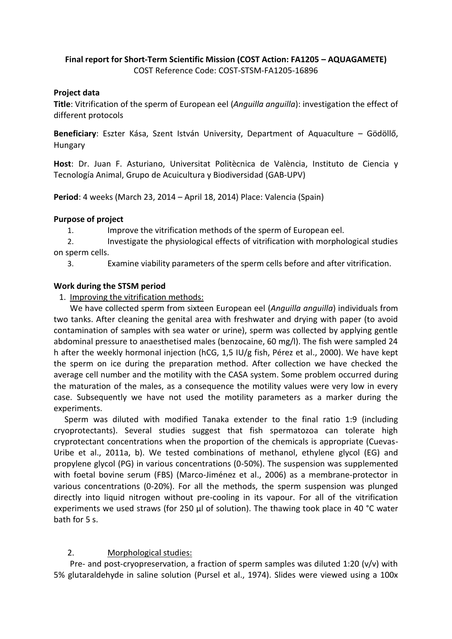#### **Final report for Short‐Term Scientific Mission (COST Action: FA1205 – AQUAGAMETE)** COST Reference Code: COST-STSM-FA1205-16896

#### **Project data**

**Title**: Vitrification of the sperm of European eel (*Anguilla anguilla*): investigation the effect of different protocols

**Beneficiary**: Eszter Kása, Szent István University, Department of Aquaculture – Gödöllő, Hungary

**Host**: Dr. Juan F. Asturiano, Universitat Politècnica de València, Instituto de Ciencia y Tecnología Animal, Grupo de Acuicultura y Biodiversidad (GAB-UPV)

**Period**: 4 weeks (March 23, 2014 – April 18, 2014) Place: Valencia (Spain)

#### **Purpose of project**

1. Improve the vitrification methods of the sperm of European eel.

2. Investigate the physiological effects of vitrification with morphological studies on sperm cells.

3. Examine viability parameters of the sperm cells before and after vitrification.

#### **Work during the STSM period**

1. Improving the vitrification methods:

We have collected sperm from sixteen European eel (*Anguilla anguilla*) individuals from two tanks. After cleaning the genital area with freshwater and drying with paper (to avoid contamination of samples with sea water or urine), sperm was collected by applying gentle abdominal pressure to anaesthetised males (benzocaine, 60 mg/l). The fish were sampled 24 h after the weekly hormonal injection (hCG, 1,5 IU/g fish, Pérez et al., 2000). We have kept the sperm on ice during the preparation method. After collection we have checked the average cell number and the motility with the CASA system. Some problem occurred during the maturation of the males, as a consequence the motility values were very low in every case. Subsequently we have not used the motility parameters as a marker during the experiments.

Sperm was diluted with modified Tanaka extender to the final ratio 1:9 (including cryoprotectants). Several studies suggest that fish spermatozoa can tolerate high cryprotectant concentrations when the proportion of the chemicals is appropriate (Cuevas-Uribe et al., 2011a, b). We tested combinations of methanol, ethylene glycol (EG) and propylene glycol (PG) in various concentrations (0-50%). The suspension was supplemented with foetal bovine serum (FBS) (Marco-Jiménez et al., 2006) as a membrane-protector in various concentrations (0-20%). For all the methods, the sperm suspension was plunged directly into liquid nitrogen without pre-cooling in its vapour. For all of the vitrification experiments we used straws (for 250 µl of solution). The thawing took place in 40 °C water bath for 5 s.

## 2. Morphological studies:

Pre- and post-cryopreservation, a fraction of sperm samples was diluted 1:20 (v/v) with 5% glutaraldehyde in saline solution (Pursel et al., 1974). Slides were viewed using a 100x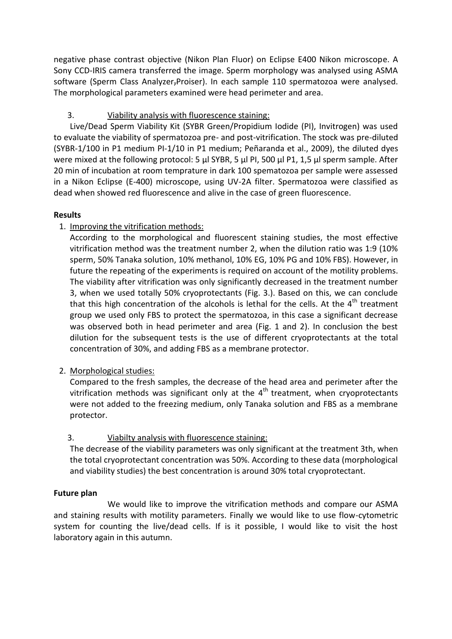negative phase contrast objective (Nikon Plan Fluor) on Eclipse E400 Nikon microscope. A Sony CCD-IRIS camera transferred the image. Sperm morphology was analysed using ASMA software (Sperm Class Analyzer,Proiser). In each sample 110 spermatozoa were analysed. The morphological parameters examined were head perimeter and area.

# 3. Viability analysis with fluorescence staining:

Live/Dead Sperm Viability Kit (SYBR Green/Propidium Iodide (PI), Invitrogen) was used to evaluate the viability of spermatozoa pre- and post-vitrification. The stock was pre-diluted (SYBR-1/100 in P1 medium PI-1/10 in P1 medium; Peñaranda et al., 2009), the diluted dyes were mixed at the following protocol: 5 µl SYBR, 5 µl PI, 500 µl P1, 1,5 µl sperm sample. After 20 min of incubation at room temprature in dark 100 spematozoa per sample were assessed in a Nikon Eclipse (E-400) microscope, using UV-2A filter. Spermatozoa were classified as dead when showed red fluorescence and alive in the case of green fluorescence.

## **Results**

1. Improving the vitrification methods:

According to the morphological and fluorescent staining studies, the most effective vitrification method was the treatment number 2, when the dilution ratio was 1:9 (10% sperm, 50% Tanaka solution, 10% methanol, 10% EG, 10% PG and 10% FBS). However, in future the repeating of the experiments is required on account of the motility problems. The viability after vitrification was only significantly decreased in the treatment number 3, when we used totally 50% cryoprotectants (Fig. 3.). Based on this, we can conclude that this high concentration of the alcohols is lethal for the cells. At the  $4<sup>th</sup>$  treatment group we used only FBS to protect the spermatozoa, in this case a significant decrease was observed both in head perimeter and area (Fig. 1 and 2). In conclusion the best dilution for the subsequent tests is the use of different cryoprotectants at the total concentration of 30%, and adding FBS as a membrane protector.

## 2. Morphological studies:

Compared to the fresh samples, the decrease of the head area and perimeter after the vitrification methods was significant only at the  $4<sup>th</sup>$  treatment, when cryoprotectants were not added to the freezing medium, only Tanaka solution and FBS as a membrane protector.

## 3. Viabilty analysis with fluorescence staining:

The decrease of the viability parameters was only significant at the treatment 3th, when the total cryoprotectant concentration was 50%. According to these data (morphological and viability studies) the best concentration is around 30% total cryoprotectant.

## **Future plan**

We would like to improve the vitrification methods and compare our ASMA and staining results with motility parameters. Finally we would like to use flow-cytometric system for counting the live/dead cells. If is it possible, I would like to visit the host laboratory again in this autumn.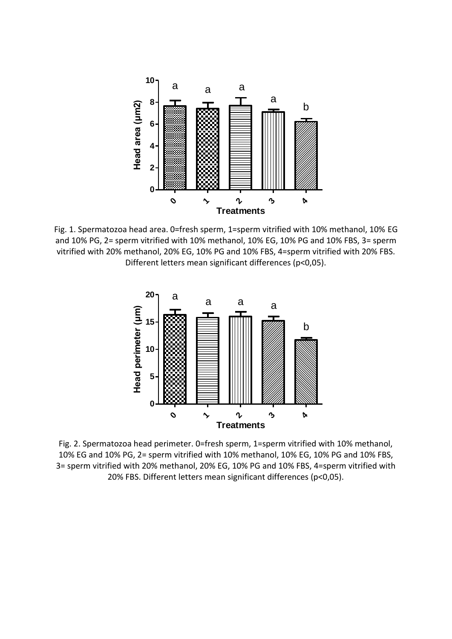

Fig. 1. Spermatozoa head area. 0=fresh sperm, 1=sperm vitrified with 10% methanol, 10% EG and 10% PG, 2= sperm vitrified with 10% methanol, 10% EG, 10% PG and 10% FBS, 3= sperm vitrified with 20% methanol, 20% EG, 10% PG and 10% FBS, 4=sperm vitrified with 20% FBS. Different letters mean significant differences (p<0,05).



Fig. 2. Spermatozoa head perimeter. 0=fresh sperm, 1=sperm vitrified with 10% methanol, 10% EG and 10% PG, 2= sperm vitrified with 10% methanol, 10% EG, 10% PG and 10% FBS, 3= sperm vitrified with 20% methanol, 20% EG, 10% PG and 10% FBS, 4=sperm vitrified with 20% FBS. Different letters mean significant differences (p<0,05).